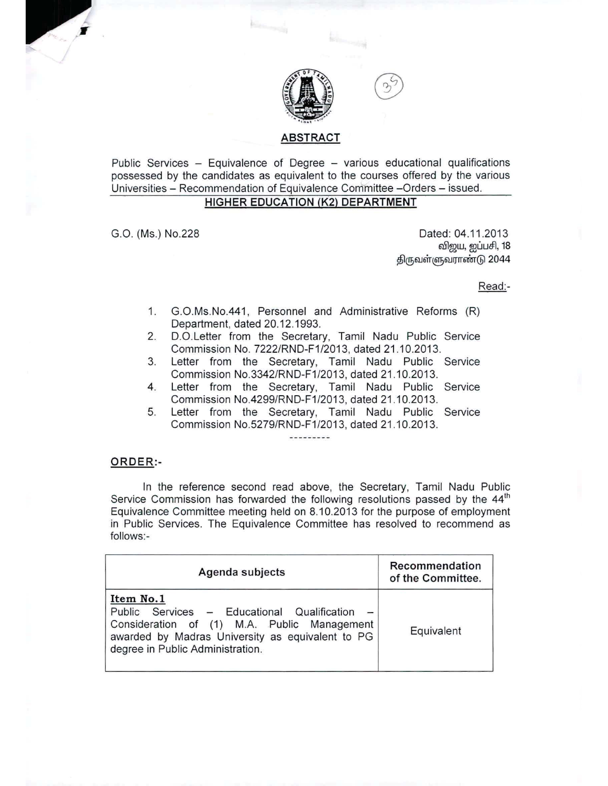

## ABSTRACT

*<u>Kanadana</u>* 

Public Services - Equivalence of Degree - various educational qualifications possessed by the candidates as equivalent to the courses offered by the various Universities - Recommendation of Equivalence Committee -Orders - issued.

# HIGHER EDUCATION (K2) DEPARTMENT

G.O. (Ms.) NO.228 Dated: 04.11.2013 விஜய, ஐப்பசி, 18 திருவள்ளுவராண்டு 2044

Read:-

- 1. G.O.Ms.No.441, Personnel and Administrative Reforms (R) Department, dated 20.12.1993.
- 2. D.O.Letter from the Secretary, Tamil Nadu Public Service Commission No. 7222/RND-F1/2013, dated 21.10.2013.
- 3. Letter from the Secretary, Tamil Nadu Public Service Commission NO.3342/RND-F1/2013, dated 21.10.2013.
- 4. Letter from the Secretary, Tamil Nadu Public Service Commission No.4299/RND-F1/2013, dated 21.10.2013.
- 5. Letter from the Secretary, Tamil Nadu Public Service Commission NO.5279/RND-F1/2013, dated 21.10.2013.

#### ORDER:-

In the reference second read above, the Secretary, Tamil Nadu Public Service Commission has forwarded the following resolutions passed by the  $44<sup>th</sup>$ Equivalence Committee meeting held on 8.10.2013 for the purpose of employment in Public Services. The Equivalence Committee has resolved to recommend as follows:-

| Agenda subjects                                                                                                                                                                                   | Recommendation<br>of the Committee. |
|---------------------------------------------------------------------------------------------------------------------------------------------------------------------------------------------------|-------------------------------------|
| Item No.1<br>Public Services - Educational Qualification -<br>Consideration of (1) M.A. Public Management<br>awarded by Madras University as equivalent to PG<br>degree in Public Administration. | Equivalent                          |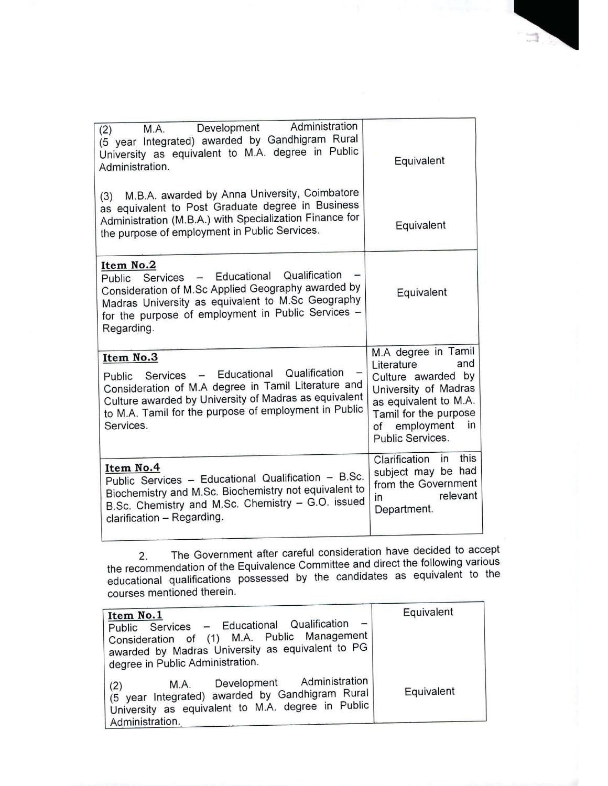| Administration<br>Development<br>M.A.<br>(2)<br>(5 year Integrated) awarded by Gandhigram Rural<br>University as equivalent to M.A. degree in Public<br>Administration.                                                                           | Equivalent                                                                                                                                                                           |
|---------------------------------------------------------------------------------------------------------------------------------------------------------------------------------------------------------------------------------------------------|--------------------------------------------------------------------------------------------------------------------------------------------------------------------------------------|
| M.B.A. awarded by Anna University, Coimbatore<br>(3)<br>as equivalent to Post Graduate degree in Business<br>Administration (M.B.A.) with Specialization Finance for<br>the purpose of employment in Public Services.                             | Equivalent                                                                                                                                                                           |
| Item No.2<br>Qualification<br>Services - Educational<br>Public<br>Consideration of M.Sc Applied Geography awarded by<br>Madras University as equivalent to M.Sc Geography<br>for the purpose of employment in Public Services -<br>Regarding.     | Equivalent                                                                                                                                                                           |
| Item No.3<br>Qualification<br>Public Services - Educational<br>Consideration of M.A degree in Tamil Literature and<br>Culture awarded by University of Madras as equivalent<br>to M.A. Tamil for the purpose of employment in Public<br>Services. | M.A degree in Tamil<br>and<br>Literature<br>Culture awarded by<br>University of Madras<br>as equivalent to M.A.<br>Tamil for the purpose<br>of employment<br>in.<br>Public Services. |
| Item No.4<br>Public Services - Educational Qualification - B.Sc.<br>Biochemistry and M.Sc. Biochemistry not equivalent to<br>B.Sc. Chemistry and M.Sc. Chemistry - G.O. issued<br>clarification - Regarding.                                      | this<br>Clarification<br>in<br>subject may be had<br>from the Government<br>relevant<br>in<br>Department.                                                                            |

2. The Government after careful consideration have decided to accept the recommendation of the Equivalence Committee and direct the following various educational qualifications possessed by the candidates as equivalent to the courses mentioned therein.

| Item No.1<br>Public Services - Educational Qualification<br>Consideration of (1) M.A. Public Management<br>awarded by Madras University as equivalent to PG<br>degree in Public Administration. | Equivalent |
|-------------------------------------------------------------------------------------------------------------------------------------------------------------------------------------------------|------------|
| Development Administration<br>M.A.<br>(2)<br>(5 year Integrated) awarded by Gandhigram Rural<br>University as equivalent to M.A. degree in Public<br>Administration.                            | Equivalent |